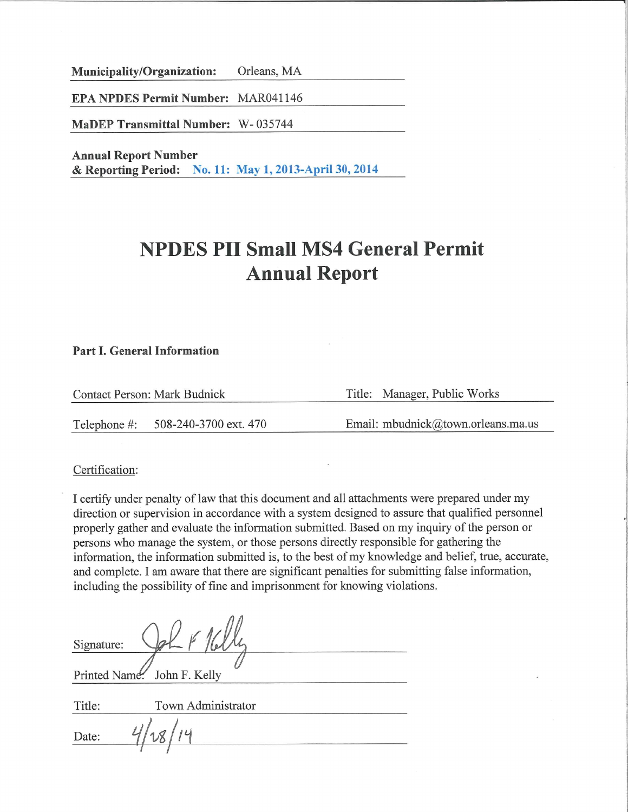Municipality/Organization: Orleans, MA

**EPA NPDES Permit Number: MAR041146** 

**MaDEP Transmittal Number: W-035744** 

**Annual Report Number** & Reporting Period: No. 11: May 1, 2013-April 30, 2014

# **NPDES PII Small MS4 General Permit Annual Report**

#### **Part I. General Information**

Title: Manager, Public Works **Contact Person: Mark Budnick** Email: mbudnick@town.orleans.ma.us 508-240-3700 ext. 470 Telephone #:

Certification:

I certify under penalty of law that this document and all attachments were prepared under my direction or supervision in accordance with a system designed to assure that qualified personnel properly gather and evaluate the information submitted. Based on my inquiry of the person or persons who manage the system, or those persons directly responsible for gathering the information, the information submitted is, to the best of my knowledge and belief, true, accurate, and complete. I am aware that there are significant penalties for submitting false information, including the possibility of fine and imprisonment for knowing violations.

| Signature: |                             |  |
|------------|-----------------------------|--|
|            |                             |  |
|            | Printed Name. John F. Kelly |  |
| Title:     | Town Administrator          |  |
| Date:      |                             |  |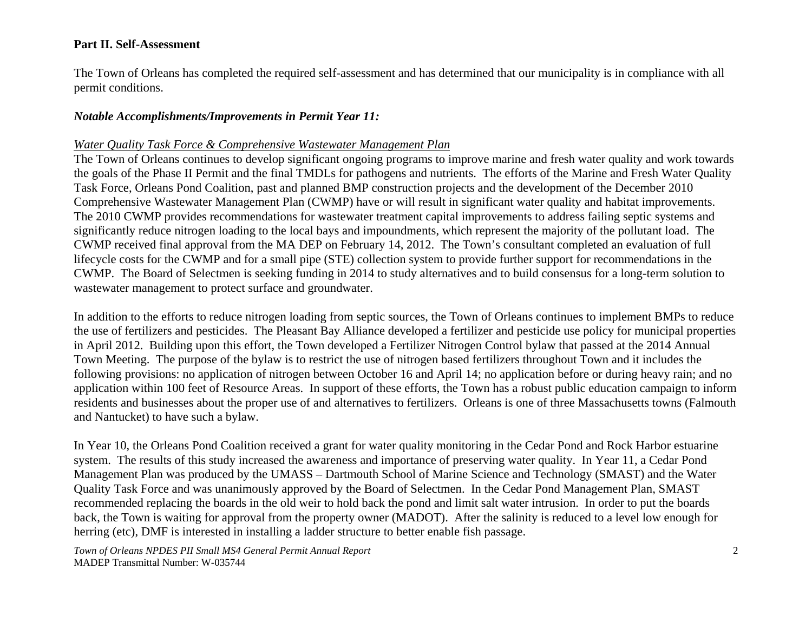#### **Part II. Self-Assessment**

The Town of Orleans has completed the required self-assessment and has determined that our municipality is in compliance with all permit conditions.

#### *Notable Accomplishments/Improvements in Permit Year 11:*

#### *Water Quality Task Force & Comprehensive Wastewater Management Plan*

The Town of Orleans continues to develop significant ongoing programs to improve marine and fresh water quality and work towards the goals of the Phase II Permit and the final TMDLs for pathogens and nutrients. The efforts of the Marine and Fresh Water Quality Task Force, Orleans Pond Coalition, past and planned BMP construction projects and the development of the December 2010 Comprehensive Wastewater Management Plan (CWMP) have or will result in significant water quality and habitat improvements. The 2010 CWMP provides recommendations for wastewater treatment capital improvements to address failing septic systems and significantly reduce nitrogen loading to the local bays and impoundments, which represent the majority of the pollutant load. The CWMP received final approval from the MA DEP on February 14, 2012. The Town's consultant completed an evaluation of full lifecycle costs for the CWMP and for a small pipe (STE) collection system to provide further support for recommendations in the CWMP. The Board of Selectmen is seeking funding in 2014 to study alternatives and to build consensus for a long-term solution to wastewater management to protect surface and groundwater.

In addition to the efforts to reduce nitrogen loading from septic sources, the Town of Orleans continues to implement BMPs to reduce the use of fertilizers and pesticides. The Pleasant Bay Alliance developed a fertilizer and pesticide use policy for municipal properties in April 2012. Building upon this effort, the Town developed a Fertilizer Nitrogen Control bylaw that passed at the 2014 Annual Town Meeting. The purpose of the bylaw is to restrict the use of nitrogen based fertilizers throughout Town and it includes the following provisions: no application of nitrogen between October 16 and April 14; no application before or during heavy rain; and no application within 100 feet of Resource Areas. In support of these efforts, the Town has a robust public education campaign to inform residents and businesses about the proper use of and alternatives to fertilizers. Orleans is one of three Massachusetts towns (Falmouth and Nantucket) to have such a bylaw.

In Year 10, the Orleans Pond Coalition received a grant for water quality monitoring in the Cedar Pond and Rock Harbor estuarine system. The results of this study increased the awareness and importance of preserving water quality. In Year 11, a Cedar Pond Management Plan was produced by the UMASS – Dartmouth School of Marine Science and Technology (SMAST) and the Water Quality Task Force and was unanimously approved by the Board of Selectmen. In the Cedar Pond Management Plan, SMAST recommended replacing the boards in the old weir to hold back the pond and limit salt water intrusion. In order to put the boards back, the Town is waiting for approval from the property owner (MADOT). After the salinity is reduced to a level low enough for herring (etc), DMF is interested in installing a ladder structure to better enable fish passage.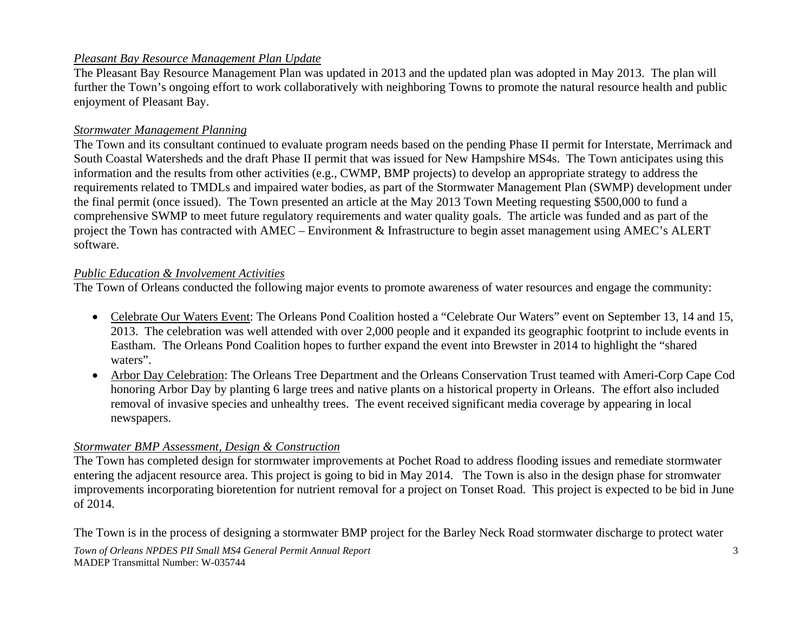#### *Pleasant Bay Resource Management Plan Update*

The Pleasant Bay Resource Management Plan was updated in 2013 and the updated plan was adopted in May 2013. The plan will further the Town's ongoing effort to work collaboratively with neighboring Towns to promote the natural resource health and public enjoyment of Pleasant Bay.

#### *Stormwater Management Planning*

The Town and its consultant continued to evaluate program needs based on the pending Phase II permit for Interstate, Merrimack and South Coastal Watersheds and the draft Phase II permit that was issued for New Hampshire MS4s. The Town anticipates using this information and the results from other activities (e.g., CWMP, BMP projects) to develop an appropriate strategy to address the requirements related to TMDLs and impaired water bodies, as part of the Stormwater Management Plan (SWMP) development under the final permit (once issued). The Town presented an article at the May 2013 Town Meeting requesting \$500,000 to fund a comprehensive SWMP to meet future regulatory requirements and water quality goals. The article was funded and as part of the project the Town has contracted with AMEC – Environment & Infrastructure to begin asset management using AMEC's ALERT software.

#### *Public Education & Involvement Activities*

The Town of Orleans conducted the following major events to promote awareness of water resources and engage the community:

- Celebrate Our Waters Event: The Orleans Pond Coalition hosted a "Celebrate Our Waters" event on September 13, 14 and 15, 2013. The celebration was well attended with over 2,000 people and it expanded its geographic footprint to include events in Eastham. The Orleans Pond Coalition hopes to further expand the event into Brewster in 2014 to highlight the "shared waters".
- Arbor Day Celebration: The Orleans Tree Department and the Orleans Conservation Trust teamed with Ameri-Corp Cape Cod honoring Arbor Day by planting 6 large trees and native plants on a historical property in Orleans. The effort also included removal of invasive species and unhealthy trees. The event received significant media coverage by appearing in local newspapers.

#### *Stormwater BMP Assessment, Design & Construction*

The Town has completed design for stormwater improvements at Pochet Road to address flooding issues and remediate stormwater entering the adjacent resource area. This project is going to bid in May 2014. The Town is also in the design phase for stromwater improvements incorporating bioretention for nutrient removal for a project on Tonset Road. This project is expected to be bid in June of 2014.

The Town is in the process of designing a stormwater BMP project for the Barley Neck Road stormwater discharge to protect water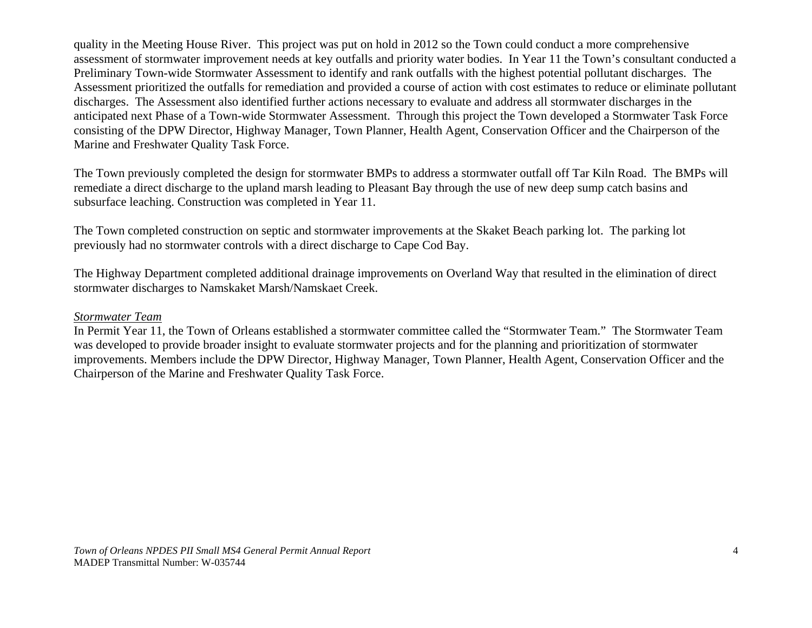quality in the Meeting House River. This project was put on hold in 2012 so the Town could conduct a more comprehensive assessment of stormwater improvement needs at key outfalls and priority water bodies. In Year 11 the Town's consultant conducted a Preliminary Town-wide Stormwater Assessment to identify and rank outfalls with the highest potential pollutant discharges. The Assessment prioritized the outfalls for remediation and provided a course of action with cost estimates to reduce or eliminate pollutant discharges. The Assessment also identified further actions necessary to evaluate and address all stormwater discharges in the anticipated next Phase of a Town-wide Stormwater Assessment. Through this project the Town developed a Stormwater Task Force consisting of the DPW Director, Highway Manager, Town Planner, Health Agent, Conservation Officer and the Chairperson of the Marine and Freshwater Quality Task Force.

The Town previously completed the design for stormwater BMPs to address a stormwater outfall off Tar Kiln Road. The BMPs will remediate a direct discharge to the upland marsh leading to Pleasant Bay through the use of new deep sump catch basins and subsurface leaching. Construction was completed in Year 11.

The Town completed construction on septic and stormwater improvements at the Skaket Beach parking lot. The parking lot previously had no stormwater controls with a direct discharge to Cape Cod Bay.

The Highway Department completed additional drainage improvements on Overland Way that resulted in the elimination of direct stormwater discharges to Namskaket Marsh/Namskaet Creek.

#### *Stormwater Team*

In Permit Year 11, the Town of Orleans established a stormwater committee called the "Stormwater Team." The Stormwater Team was developed to provide broader insight to evaluate stormwater projects and for the planning and prioritization of stormwater improvements. Members include the DPW Director, Highway Manager, Town Planner, Health Agent, Conservation Officer and the Chairperson of the Marine and Freshwater Quality Task Force.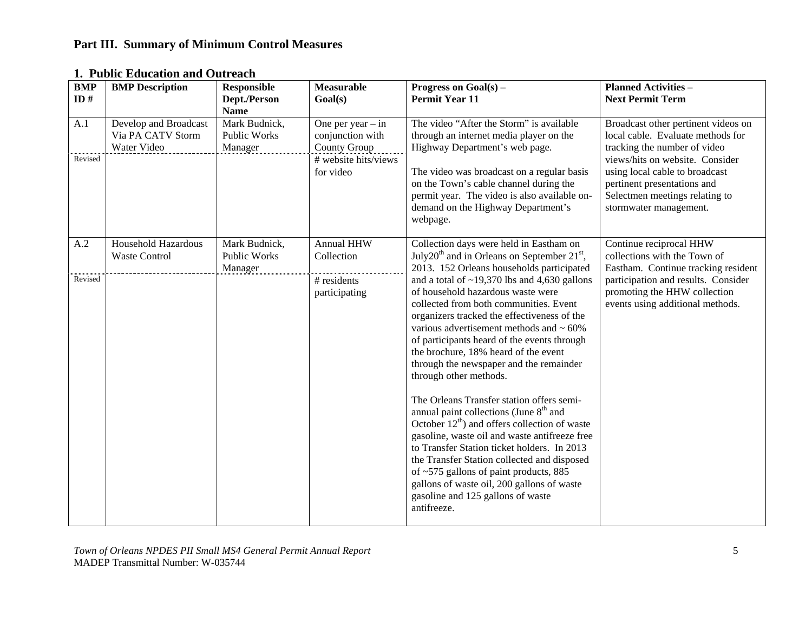## **Part III. Summary of Minimum Control Measures**

| <b>BMP</b><br>ID# | <b>BMP</b> Description                                    | <b>Responsible</b><br>Dept./Person<br><b>Name</b> | <b>Measurable</b><br>Goal(s)                                   | Progress on $Goal(s)$ –<br><b>Permit Year 11</b>                                                                                                                                                                                                                                                                                                                                                                                                                                                                                                                                                                                                                                                                                                                                                                                                  | <b>Planned Activities -</b><br><b>Next Permit Term</b>                                                                                                       |
|-------------------|-----------------------------------------------------------|---------------------------------------------------|----------------------------------------------------------------|---------------------------------------------------------------------------------------------------------------------------------------------------------------------------------------------------------------------------------------------------------------------------------------------------------------------------------------------------------------------------------------------------------------------------------------------------------------------------------------------------------------------------------------------------------------------------------------------------------------------------------------------------------------------------------------------------------------------------------------------------------------------------------------------------------------------------------------------------|--------------------------------------------------------------------------------------------------------------------------------------------------------------|
| A.1               | Develop and Broadcast<br>Via PA CATV Storm<br>Water Video | Mark Budnick,<br>Public Works<br>Manager          | One per year $-$ in<br>conjunction with<br><b>County Group</b> | The video "After the Storm" is available<br>through an internet media player on the<br>Highway Department's web page.                                                                                                                                                                                                                                                                                                                                                                                                                                                                                                                                                                                                                                                                                                                             | Broadcast other pertinent videos on<br>local cable. Evaluate methods for<br>tracking the number of video                                                     |
| Revised           |                                                           |                                                   | # website hits/views<br>for video                              | The video was broadcast on a regular basis<br>on the Town's cable channel during the<br>permit year. The video is also available on-<br>demand on the Highway Department's<br>webpage.                                                                                                                                                                                                                                                                                                                                                                                                                                                                                                                                                                                                                                                            | views/hits on website. Consider<br>using local cable to broadcast<br>pertinent presentations and<br>Selectmen meetings relating to<br>stormwater management. |
| A.2               | <b>Household Hazardous</b><br><b>Waste Control</b>        | Mark Budnick,<br><b>Public Works</b><br>Manager   | <b>Annual HHW</b><br>Collection                                | Collection days were held in Eastham on<br>July20 <sup>th</sup> and in Orleans on September $21st$ ,<br>2013. 152 Orleans households participated                                                                                                                                                                                                                                                                                                                                                                                                                                                                                                                                                                                                                                                                                                 | Continue reciprocal HHW<br>collections with the Town of<br>Eastham. Continue tracking resident                                                               |
| Revised           |                                                           |                                                   | # residents<br>participating                                   | and a total of $\sim$ 19,370 lbs and 4,630 gallons<br>of household hazardous waste were<br>collected from both communities. Event<br>organizers tracked the effectiveness of the<br>various advertisement methods and $\sim 60\%$<br>of participants heard of the events through<br>the brochure, 18% heard of the event<br>through the newspaper and the remainder<br>through other methods.<br>The Orleans Transfer station offers semi-<br>annual paint collections (June 8 <sup>th</sup> and<br>October $12^{th}$ ) and offers collection of waste<br>gasoline, waste oil and waste antifreeze free<br>to Transfer Station ticket holders. In 2013<br>the Transfer Station collected and disposed<br>of ~575 gallons of paint products, 885<br>gallons of waste oil, 200 gallons of waste<br>gasoline and 125 gallons of waste<br>antifreeze. | participation and results. Consider<br>promoting the HHW collection<br>events using additional methods.                                                      |

#### **1. Public Education and Outreach**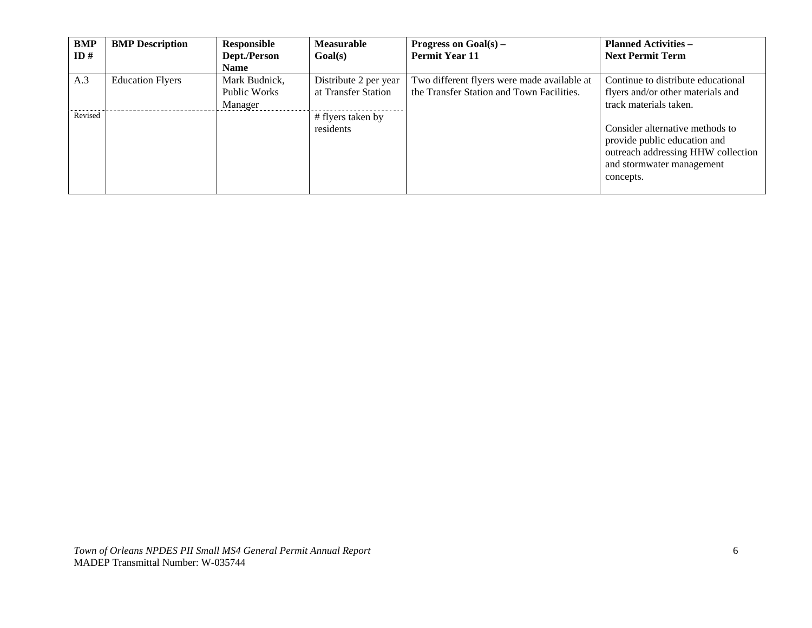| BMP     | <b>BMP</b> Description  | Responsible   | <b>Measurable</b>     | Progress on $Goal(s)$ –                     | <b>Planned Activities –</b>        |
|---------|-------------------------|---------------|-----------------------|---------------------------------------------|------------------------------------|
| ID#     |                         | Dept./Person  | Goal(s)               | <b>Permit Year 11</b>                       | <b>Next Permit Term</b>            |
|         |                         | <b>Name</b>   |                       |                                             |                                    |
| A.3     | <b>Education Flyers</b> | Mark Budnick, | Distribute 2 per year | Two different flyers were made available at | Continue to distribute educational |
|         |                         | Public Works  | at Transfer Station   | the Transfer Station and Town Facilities.   | flyers and/or other materials and  |
|         |                         | Manager       |                       |                                             | track materials taken.             |
| Revised |                         |               | # flyers taken by     |                                             |                                    |
|         |                         |               | residents             |                                             | Consider alternative methods to    |
|         |                         |               |                       |                                             | provide public education and       |
|         |                         |               |                       |                                             | outreach addressing HHW collection |
|         |                         |               |                       |                                             | and stormwater management          |
|         |                         |               |                       |                                             | concepts.                          |
|         |                         |               |                       |                                             |                                    |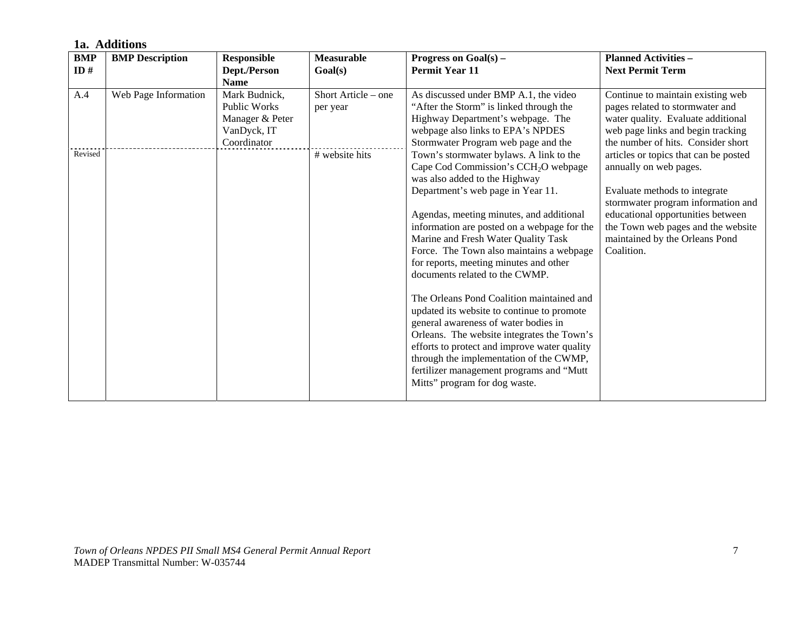|                   | 1a. Additions          |                                                                                       |                                 |                                                                                                                                                                                                                                                                                                                                                                                                                                                                                                                                                                                                                                                                                                                                                                                                                                                                                                                                                                                                         |                                                                                                                                                                                                                                                     |  |  |  |
|-------------------|------------------------|---------------------------------------------------------------------------------------|---------------------------------|---------------------------------------------------------------------------------------------------------------------------------------------------------------------------------------------------------------------------------------------------------------------------------------------------------------------------------------------------------------------------------------------------------------------------------------------------------------------------------------------------------------------------------------------------------------------------------------------------------------------------------------------------------------------------------------------------------------------------------------------------------------------------------------------------------------------------------------------------------------------------------------------------------------------------------------------------------------------------------------------------------|-----------------------------------------------------------------------------------------------------------------------------------------------------------------------------------------------------------------------------------------------------|--|--|--|
| <b>BMP</b><br>ID# | <b>BMP</b> Description | <b>Responsible</b><br>Dept./Person<br><b>Name</b>                                     | <b>Measurable</b><br>Goal(s)    | Progress on $Goal(s)$ –<br><b>Permit Year 11</b>                                                                                                                                                                                                                                                                                                                                                                                                                                                                                                                                                                                                                                                                                                                                                                                                                                                                                                                                                        | <b>Planned Activities -</b><br><b>Next Permit Term</b>                                                                                                                                                                                              |  |  |  |
| A.4               | Web Page Information   | Mark Budnick,<br><b>Public Works</b><br>Manager & Peter<br>VanDyck, IT<br>Coordinator | Short Article - one<br>per year | As discussed under BMP A.1, the video<br>"After the Storm" is linked through the<br>Highway Department's webpage. The<br>webpage also links to EPA's NPDES<br>Stormwater Program web page and the<br>Town's stormwater bylaws. A link to the<br>Cape Cod Commission's CCH <sub>2</sub> O webpage<br>was also added to the Highway<br>Department's web page in Year 11.<br>Agendas, meeting minutes, and additional<br>information are posted on a webpage for the<br>Marine and Fresh Water Quality Task<br>Force. The Town also maintains a webpage<br>Coalition.<br>for reports, meeting minutes and other<br>documents related to the CWMP.<br>The Orleans Pond Coalition maintained and<br>updated its website to continue to promote<br>general awareness of water bodies in<br>Orleans. The website integrates the Town's<br>efforts to protect and improve water quality<br>through the implementation of the CWMP,<br>fertilizer management programs and "Mutt<br>Mitts" program for dog waste. | Continue to maintain existing web<br>pages related to stormwater and<br>water quality. Evaluate additional<br>web page links and begin tracking<br>the number of hits. Consider short                                                               |  |  |  |
| Revised           |                        |                                                                                       | # website hits                  |                                                                                                                                                                                                                                                                                                                                                                                                                                                                                                                                                                                                                                                                                                                                                                                                                                                                                                                                                                                                         | articles or topics that can be posted<br>annually on web pages.<br>Evaluate methods to integrate<br>stormwater program information and<br>educational opportunities between<br>the Town web pages and the website<br>maintained by the Orleans Pond |  |  |  |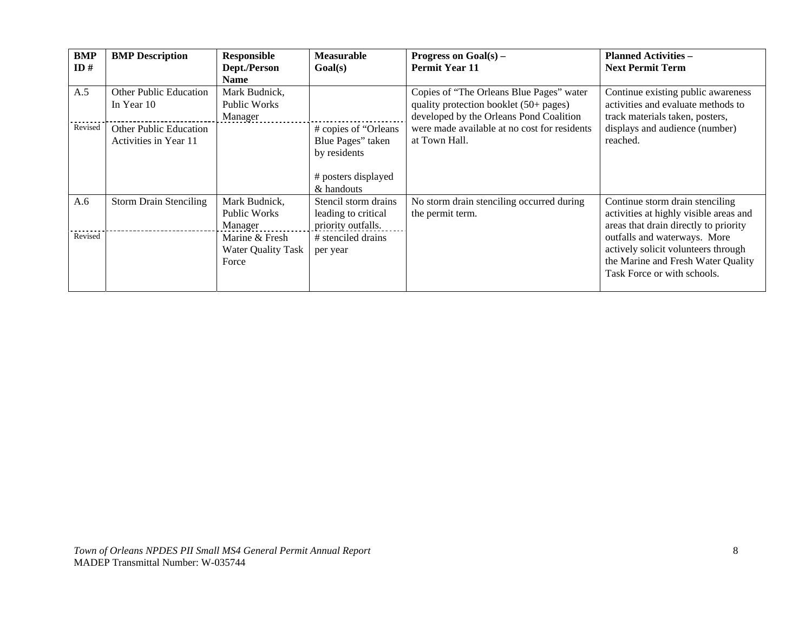| BMP<br>ID# | <b>BMP</b> Description                      | <b>Responsible</b><br>Dept./Person | <b>Measurable</b><br>Goal(s)      | Progress on $Goal(s)$ –<br><b>Permit Year 11</b>                                  | <b>Planned Activities -</b><br><b>Next Permit Term</b>                   |
|------------|---------------------------------------------|------------------------------------|-----------------------------------|-----------------------------------------------------------------------------------|--------------------------------------------------------------------------|
|            |                                             | <b>Name</b>                        |                                   |                                                                                   |                                                                          |
| A.5        | <b>Other Public Education</b><br>In Year 10 | Mark Budnick,<br>Public Works      |                                   | Copies of "The Orleans Blue Pages" water                                          | Continue existing public awareness<br>activities and evaluate methods to |
|            |                                             | Manager                            |                                   | quality protection booklet (50+ pages)<br>developed by the Orleans Pond Coalition | track materials taken, posters,                                          |
| Revised    | <b>Other Public Education</b>               |                                    | # copies of "Orleans              | were made available at no cost for residents                                      | displays and audience (number)                                           |
|            | Activities in Year 11                       |                                    | Blue Pages" taken                 | at Town Hall.                                                                     | reached.                                                                 |
|            |                                             |                                    | by residents                      |                                                                                   |                                                                          |
|            |                                             |                                    | # posters displayed<br>& handouts |                                                                                   |                                                                          |
| A.6        | <b>Storm Drain Stenciling</b>               | Mark Budnick,                      | Stencil storm drains              | No storm drain stenciling occurred during                                         | Continue storm drain stenciling                                          |
|            |                                             | Public Works                       | leading to critical               | the permit term.                                                                  | activities at highly visible areas and                                   |
|            |                                             | Manager                            | priority outfalls.                |                                                                                   | areas that drain directly to priority                                    |
| Revised    |                                             | Marine & Fresh                     | # stenciled drains                |                                                                                   | outfalls and waterways. More                                             |
|            |                                             | Water Quality Task                 | per year                          |                                                                                   | actively solicit volunteers through                                      |
|            |                                             | Force                              |                                   |                                                                                   | the Marine and Fresh Water Quality                                       |
|            |                                             |                                    |                                   |                                                                                   | Task Force or with schools.                                              |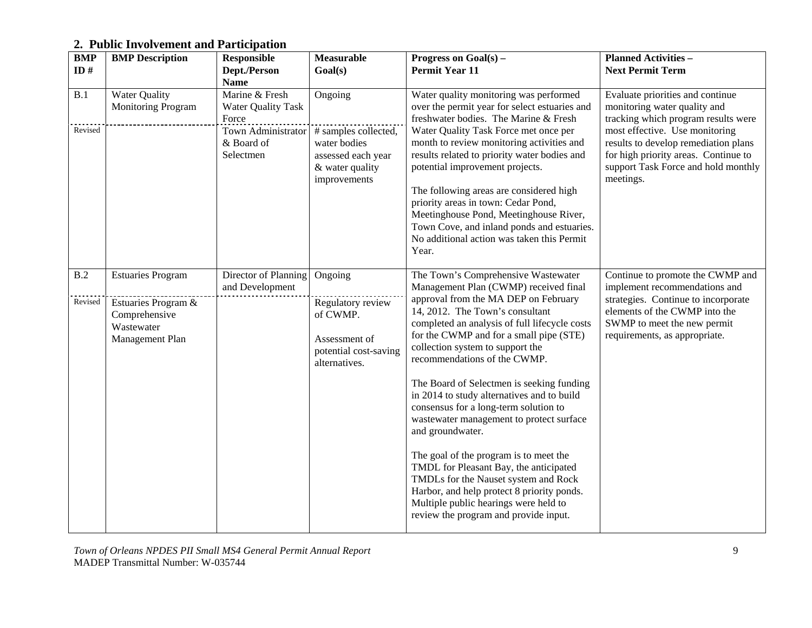## **2. Public Involvement and Participation**

| <b>BMP</b>     | <b>BMP</b> Description                                                                            | <b>Responsible</b>                                                                                    | <b>Measurable</b>                                                                                        | Progress on $Goal(s)$ –                                                                                                                                                                                                                                                                                                                                                                                                                                                                                                                                                                                                                                                                                                                                                                 | <b>Planned Activities -</b>                                                                                                                                                                                                                                                   |
|----------------|---------------------------------------------------------------------------------------------------|-------------------------------------------------------------------------------------------------------|----------------------------------------------------------------------------------------------------------|-----------------------------------------------------------------------------------------------------------------------------------------------------------------------------------------------------------------------------------------------------------------------------------------------------------------------------------------------------------------------------------------------------------------------------------------------------------------------------------------------------------------------------------------------------------------------------------------------------------------------------------------------------------------------------------------------------------------------------------------------------------------------------------------|-------------------------------------------------------------------------------------------------------------------------------------------------------------------------------------------------------------------------------------------------------------------------------|
| ID#            |                                                                                                   | Dept./Person<br><b>Name</b>                                                                           | Goal(s)                                                                                                  | <b>Permit Year 11</b>                                                                                                                                                                                                                                                                                                                                                                                                                                                                                                                                                                                                                                                                                                                                                                   | <b>Next Permit Term</b>                                                                                                                                                                                                                                                       |
| B.1<br>Revised | <b>Water Quality</b><br>Monitoring Program                                                        | Marine & Fresh<br><b>Water Quality Task</b><br>Force<br>Town Administrator<br>& Board of<br>Selectmen | Ongoing<br># samples collected,<br>water bodies<br>assessed each year<br>& water quality<br>improvements | Water quality monitoring was performed<br>over the permit year for select estuaries and<br>freshwater bodies. The Marine & Fresh<br>Water Quality Task Force met once per<br>month to review monitoring activities and<br>results related to priority water bodies and<br>potential improvement projects.<br>The following areas are considered high<br>priority areas in town: Cedar Pond,<br>Meetinghouse Pond, Meetinghouse River,<br>Town Cove, and inland ponds and estuaries.<br>No additional action was taken this Permit<br>Year.                                                                                                                                                                                                                                              | Evaluate priorities and continue<br>monitoring water quality and<br>tracking which program results were<br>most effective. Use monitoring<br>results to develop remediation plans<br>for high priority areas. Continue to<br>support Task Force and hold monthly<br>meetings. |
| B.2<br>Revised | <b>Estuaries Program</b><br>Estuaries Program &<br>Comprehensive<br>Wastewater<br>Management Plan | Director of Planning<br>and Development                                                               | Ongoing<br>Regulatory review<br>of CWMP.<br>Assessment of<br>potential cost-saving<br>alternatives.      | The Town's Comprehensive Wastewater<br>Management Plan (CWMP) received final<br>approval from the MA DEP on February<br>14, 2012. The Town's consultant<br>completed an analysis of full lifecycle costs<br>for the CWMP and for a small pipe (STE)<br>collection system to support the<br>recommendations of the CWMP.<br>The Board of Selectmen is seeking funding<br>in 2014 to study alternatives and to build<br>consensus for a long-term solution to<br>wastewater management to protect surface<br>and groundwater.<br>The goal of the program is to meet the<br>TMDL for Pleasant Bay, the anticipated<br>TMDLs for the Nauset system and Rock<br>Harbor, and help protect 8 priority ponds.<br>Multiple public hearings were held to<br>review the program and provide input. | Continue to promote the CWMP and<br>implement recommendations and<br>strategies. Continue to incorporate<br>elements of the CWMP into the<br>SWMP to meet the new permit<br>requirements, as appropriate.                                                                     |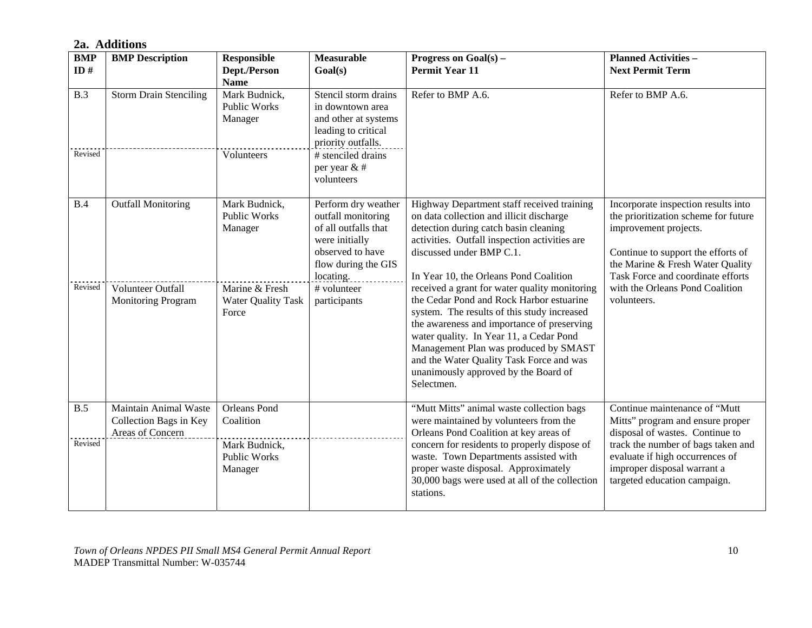#### **2a. Additions**

| <b>BMP</b>     | <b>BMP</b> Description                                              | <b>Responsible</b>                                                                  | <b>Measurable</b>                                                                                                                                                 | Progress on $Goal(s)$ –                                                                                                                                                                                                                                                                                                                                                      | <b>Planned Activities -</b>                                                                                                                                                                                                                  |
|----------------|---------------------------------------------------------------------|-------------------------------------------------------------------------------------|-------------------------------------------------------------------------------------------------------------------------------------------------------------------|------------------------------------------------------------------------------------------------------------------------------------------------------------------------------------------------------------------------------------------------------------------------------------------------------------------------------------------------------------------------------|----------------------------------------------------------------------------------------------------------------------------------------------------------------------------------------------------------------------------------------------|
| ID#            |                                                                     | Dept./Person<br><b>Name</b>                                                         | Goal(s)                                                                                                                                                           | <b>Permit Year 11</b>                                                                                                                                                                                                                                                                                                                                                        | <b>Next Permit Term</b>                                                                                                                                                                                                                      |
| B.3<br>Revised | <b>Storm Drain Stenciling</b>                                       | Mark Budnick,<br><b>Public Works</b><br>Manager<br>Volunteers                       | Stencil storm drains<br>in downtown area<br>and other at systems<br>leading to critical<br>priority outfalls.<br># stenciled drains<br>per year & #<br>volunteers | Refer to BMP A.6.                                                                                                                                                                                                                                                                                                                                                            | Refer to BMP A.6.                                                                                                                                                                                                                            |
| B.4            | <b>Outfall Monitoring</b>                                           | Mark Budnick,<br><b>Public Works</b><br>Manager                                     | Perform dry weather<br>outfall monitoring<br>of all outfalls that<br>were initially<br>observed to have<br>flow during the GIS<br>locating.                       | Highway Department staff received training<br>on data collection and illicit discharge<br>detection during catch basin cleaning<br>activities. Outfall inspection activities are<br>discussed under BMP C.1.<br>In Year 10, the Orleans Pond Coalition                                                                                                                       | Incorporate inspection results into<br>the prioritization scheme for future<br>improvement projects.<br>Continue to support the efforts of<br>the Marine & Fresh Water Quality<br>Task Force and coordinate efforts                          |
| Revised        | Volunteer Outfall<br><b>Monitoring Program</b>                      | Marine & Fresh<br><b>Water Quality Task</b><br>Force                                | # volunteer<br>participants                                                                                                                                       | received a grant for water quality monitoring<br>the Cedar Pond and Rock Harbor estuarine<br>system. The results of this study increased<br>the awareness and importance of preserving<br>water quality. In Year 11, a Cedar Pond<br>Management Plan was produced by SMAST<br>and the Water Quality Task Force and was<br>unanimously approved by the Board of<br>Selectmen. | with the Orleans Pond Coalition<br>volunteers.                                                                                                                                                                                               |
| B.5<br>Revised | Maintain Animal Waste<br>Collection Bags in Key<br>Areas of Concern | <b>Orleans</b> Pond<br>Coalition<br>Mark Budnick,<br><b>Public Works</b><br>Manager |                                                                                                                                                                   | "Mutt Mitts" animal waste collection bags<br>were maintained by volunteers from the<br>Orleans Pond Coalition at key areas of<br>concern for residents to properly dispose of<br>waste. Town Departments assisted with<br>proper waste disposal. Approximately<br>30,000 bags were used at all of the collection<br>stations.                                                | Continue maintenance of "Mutt<br>Mitts" program and ensure proper<br>disposal of wastes. Continue to<br>track the number of bags taken and<br>evaluate if high occurrences of<br>improper disposal warrant a<br>targeted education campaign. |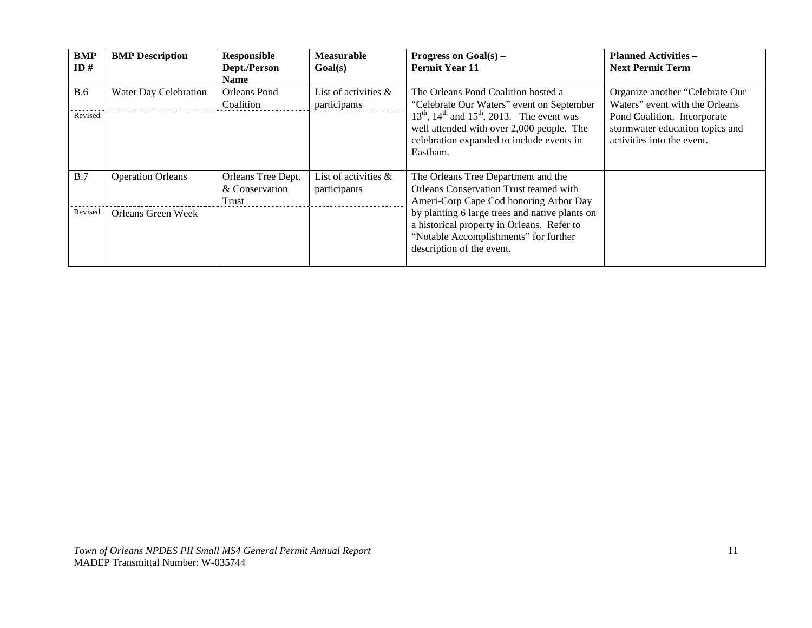| <b>BMP</b><br>ID#     | <b>BMP</b> Description   | <b>Responsible</b><br>Dept./Person<br>Name    | <b>Measurable</b><br>Goal(s)            | Progress on $Goal(s)$ –<br><b>Permit Year 11</b>                                                                                                                   | <b>Planned Activities -</b><br><b>Next Permit Term</b>                                       |
|-----------------------|--------------------------|-----------------------------------------------|-----------------------------------------|--------------------------------------------------------------------------------------------------------------------------------------------------------------------|----------------------------------------------------------------------------------------------|
| <b>B.6</b><br>Revised | Water Day Celebration    | Orleans Pond<br>Coalition                     | List of activities $\&$<br>participants | The Orleans Pond Coalition hosted a<br>"Celebrate Our Waters" event on September<br>$13^{th}$ , $14^{th}$ and $15^{th}$ , 2013. The event was                      | Organize another "Celebrate Our<br>Waters" event with the Orleans                            |
|                       |                          |                                               |                                         | well attended with over 2,000 people. The<br>celebration expanded to include events in<br>Eastham.                                                                 | Pond Coalition. Incorporate<br>stormwater education topics and<br>activities into the event. |
| B.7                   | <b>Operation Orleans</b> | Orleans Tree Dept.<br>& Conservation<br>Trust | List of activities $\&$<br>participants | The Orleans Tree Department and the<br>Orleans Conservation Trust teamed with<br>Ameri-Corp Cape Cod honoring Arbor Day                                            |                                                                                              |
| Revised               | Orleans Green Week       |                                               |                                         | by planting 6 large trees and native plants on<br>a historical property in Orleans. Refer to<br>"Notable Accomplishments" for further<br>description of the event. |                                                                                              |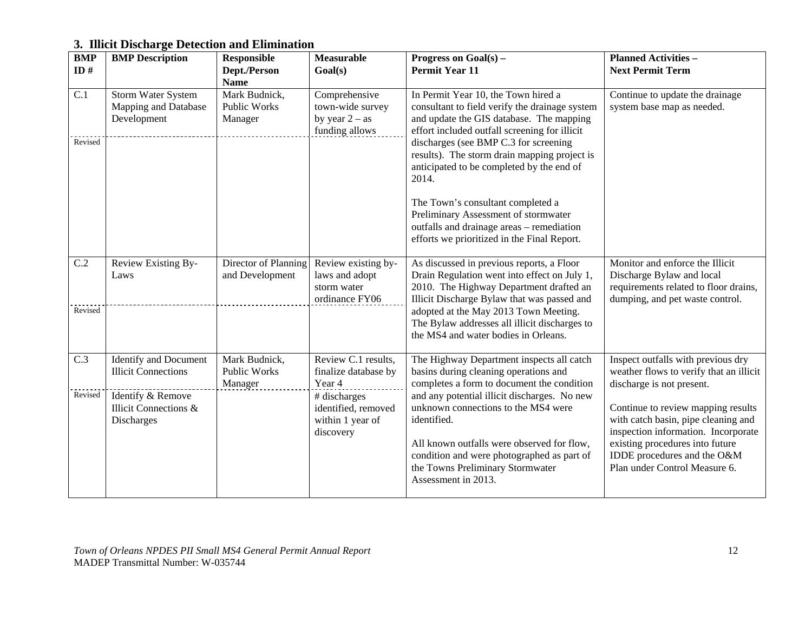## **3. Illicit Discharge Detection and Elimination**

| <b>BMP</b> | <b>BMP</b> Description                                    | <b>Responsible</b>                                      | <b>Measurable</b>                                                       | Progress on $Goal(s)$ –                                                                                                                                                                                                                                   | <b>Planned Activities -</b>                                                                                                                                                                                         |
|------------|-----------------------------------------------------------|---------------------------------------------------------|-------------------------------------------------------------------------|-----------------------------------------------------------------------------------------------------------------------------------------------------------------------------------------------------------------------------------------------------------|---------------------------------------------------------------------------------------------------------------------------------------------------------------------------------------------------------------------|
| ID#        |                                                           | Dept./Person                                            | Goal(s)                                                                 | <b>Permit Year 11</b>                                                                                                                                                                                                                                     | <b>Next Permit Term</b>                                                                                                                                                                                             |
| C.1        | Storm Water System<br>Mapping and Database<br>Development | <b>Name</b><br>Mark Budnick,<br>Public Works<br>Manager | Comprehensive<br>town-wide survey<br>by year $2 - as$<br>funding allows | In Permit Year 10, the Town hired a<br>consultant to field verify the drainage system<br>and update the GIS database. The mapping<br>effort included outfall screening for illicit                                                                        | Continue to update the drainage<br>system base map as needed.                                                                                                                                                       |
| Revised    |                                                           |                                                         |                                                                         | discharges (see BMP C.3 for screening<br>results). The storm drain mapping project is<br>anticipated to be completed by the end of<br>2014.                                                                                                               |                                                                                                                                                                                                                     |
|            |                                                           |                                                         |                                                                         | The Town's consultant completed a<br>Preliminary Assessment of stormwater<br>outfalls and drainage areas - remediation<br>efforts we prioritized in the Final Report.                                                                                     |                                                                                                                                                                                                                     |
| C.2        | Review Existing By-<br>Laws                               | Director of Planning<br>and Development                 | Review existing by-<br>laws and adopt<br>storm water<br>ordinance FY06  | As discussed in previous reports, a Floor<br>Drain Regulation went into effect on July 1,<br>2010. The Highway Department drafted an<br>Illicit Discharge Bylaw that was passed and                                                                       | Monitor and enforce the Illicit<br>Discharge Bylaw and local<br>requirements related to floor drains,<br>dumping, and pet waste control.                                                                            |
| Revised    |                                                           |                                                         |                                                                         | adopted at the May 2013 Town Meeting.<br>The Bylaw addresses all illicit discharges to<br>the MS4 and water bodies in Orleans.                                                                                                                            |                                                                                                                                                                                                                     |
| C.3        | Identify and Document<br><b>Illicit Connections</b>       | Mark Budnick,<br>Public Works<br>Manager                | Review C.1 results,<br>finalize database by<br>Year 4                   | The Highway Department inspects all catch<br>basins during cleaning operations and<br>completes a form to document the condition                                                                                                                          | Inspect outfalls with previous dry<br>weather flows to verify that an illicit<br>discharge is not present.                                                                                                          |
| Revised    | Identify & Remove<br>Illicit Connections &<br>Discharges  |                                                         | # discharges<br>identified, removed<br>within 1 year of<br>discovery    | and any potential illicit discharges. No new<br>unknown connections to the MS4 were<br>identified.<br>All known outfalls were observed for flow,<br>condition and were photographed as part of<br>the Towns Preliminary Stormwater<br>Assessment in 2013. | Continue to review mapping results<br>with catch basin, pipe cleaning and<br>inspection information. Incorporate<br>existing procedures into future<br>IDDE procedures and the O&M<br>Plan under Control Measure 6. |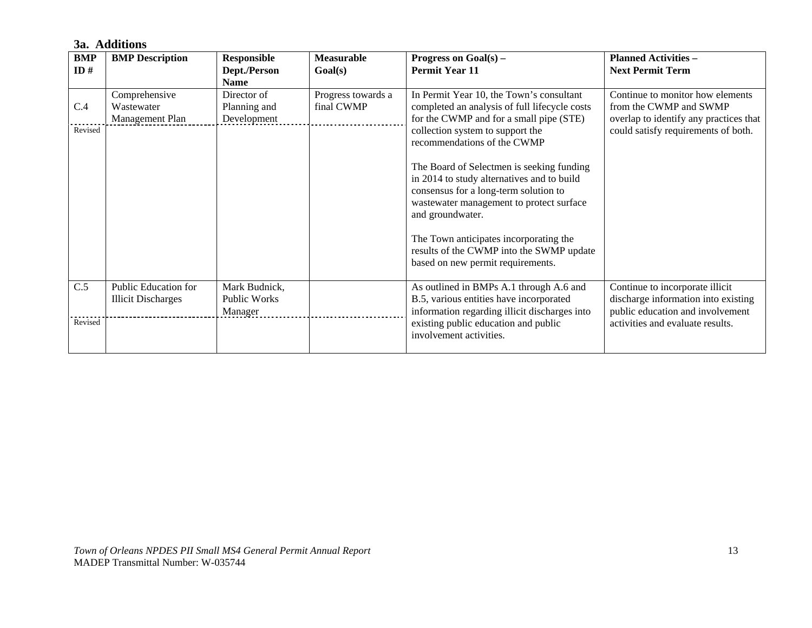#### **3a. Additions**

| <b>BMP</b> | <b>BMP</b> Description    | <b>Responsible</b>  | <b>Measurable</b>  | Progress on $Goal(s)$ –                                                                                                 | <b>Planned Activities -</b>            |
|------------|---------------------------|---------------------|--------------------|-------------------------------------------------------------------------------------------------------------------------|----------------------------------------|
| ID#        |                           | Dept./Person        | Goal(s)            | <b>Permit Year 11</b>                                                                                                   | <b>Next Permit Term</b>                |
|            |                           | <b>Name</b>         |                    |                                                                                                                         |                                        |
|            | Comprehensive             | Director of         | Progress towards a | In Permit Year 10, the Town's consultant                                                                                | Continue to monitor how elements       |
| C.4        | Wastewater                | Planning and        | final CWMP         | completed an analysis of full lifecycle costs                                                                           | from the CWMP and SWMP                 |
|            | Management Plan           | Development         |                    | for the CWMP and for a small pipe (STE)                                                                                 | overlap to identify any practices that |
| Revised    |                           |                     |                    | collection system to support the<br>recommendations of the CWMP                                                         | could satisfy requirements of both.    |
|            |                           |                     |                    | The Board of Selectmen is seeking funding                                                                               |                                        |
|            |                           |                     |                    | in 2014 to study alternatives and to build                                                                              |                                        |
|            |                           |                     |                    | consensus for a long-term solution to                                                                                   |                                        |
|            |                           |                     |                    | wastewater management to protect surface<br>and groundwater.                                                            |                                        |
|            |                           |                     |                    | The Town anticipates incorporating the<br>results of the CWMP into the SWMP update<br>based on new permit requirements. |                                        |
| C.5        | Public Education for      | Mark Budnick,       |                    | As outlined in BMPs A.1 through A.6 and                                                                                 | Continue to incorporate illicit        |
|            | <b>Illicit Discharges</b> | <b>Public Works</b> |                    | B.5, various entities have incorporated                                                                                 | discharge information into existing    |
|            |                           | Manager             |                    | information regarding illicit discharges into                                                                           | public education and involvement       |
| Revised    |                           |                     |                    | existing public education and public<br>involvement activities.                                                         | activities and evaluate results.       |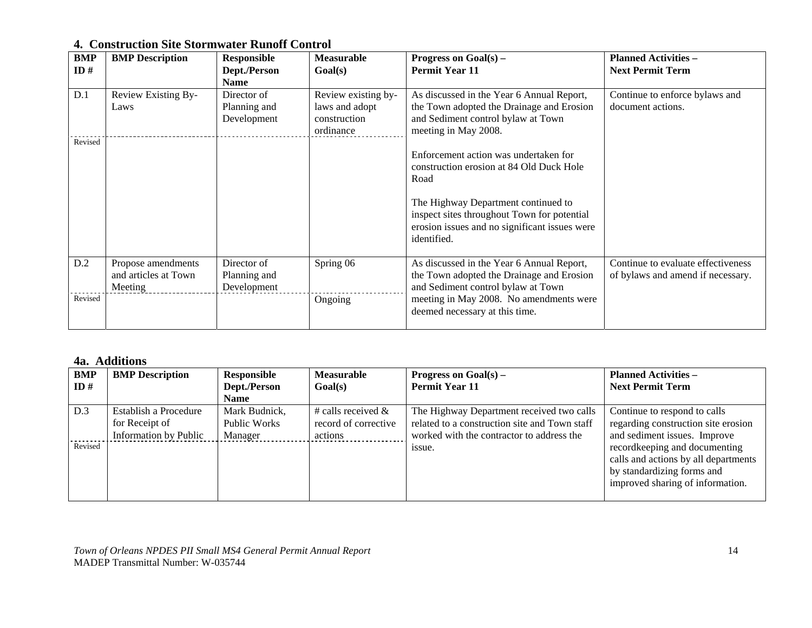#### **4. Construction Site Stormwater Runoff Control**

| <b>BMP</b> | <b>BMP</b> Description | <b>Responsible</b> | <b>Measurable</b>   | Progress on $Goal(s)$ –                                      | <b>Planned Activities -</b>        |
|------------|------------------------|--------------------|---------------------|--------------------------------------------------------------|------------------------------------|
| ID#        |                        | Dept./Person       | Goal(s)             | <b>Permit Year 11</b>                                        | <b>Next Permit Term</b>            |
|            |                        | <b>Name</b>        |                     |                                                              |                                    |
| D.1        | Review Existing By-    | Director of        | Review existing by- | As discussed in the Year 6 Annual Report,                    | Continue to enforce bylaws and     |
|            | Laws                   | Planning and       | laws and adopt      | the Town adopted the Drainage and Erosion                    | document actions.                  |
|            |                        | Development        | construction        | and Sediment control bylaw at Town                           |                                    |
|            |                        |                    | ordinance           | meeting in May 2008.                                         |                                    |
| Revised    |                        |                    |                     |                                                              |                                    |
|            |                        |                    |                     | Enforcement action was undertaken for                        |                                    |
|            |                        |                    |                     | construction erosion at 84 Old Duck Hole                     |                                    |
|            |                        |                    |                     | Road                                                         |                                    |
|            |                        |                    |                     |                                                              |                                    |
|            |                        |                    |                     | The Highway Department continued to                          |                                    |
|            |                        |                    |                     | inspect sites throughout Town for potential                  |                                    |
|            |                        |                    |                     | erosion issues and no significant issues were<br>identified. |                                    |
|            |                        |                    |                     |                                                              |                                    |
| D.2        | Propose amendments     | Director of        | Spring 06           | As discussed in the Year 6 Annual Report,                    | Continue to evaluate effectiveness |
|            | and articles at Town   | Planning and       |                     | the Town adopted the Drainage and Erosion                    | of bylaws and amend if necessary.  |
|            | Meeting                | Development        |                     | and Sediment control bylaw at Town                           |                                    |
| Revised    |                        |                    | Ongoing             | meeting in May 2008. No amendments were                      |                                    |
|            |                        |                    |                     | deemed necessary at this time.                               |                                    |
|            |                        |                    |                     |                                                              |                                    |

#### **4a. Additions**

| BMP     | <b>BMP</b> Description                                           | Responsible                              | <b>Measurable</b>                                       | <b>Progress on Goal(s)</b> –                                                                                                            | <b>Planned Activities –</b>                                                                                                             |
|---------|------------------------------------------------------------------|------------------------------------------|---------------------------------------------------------|-----------------------------------------------------------------------------------------------------------------------------------------|-----------------------------------------------------------------------------------------------------------------------------------------|
| ID#     |                                                                  | Dept./Person                             | Goal(s)                                                 | <b>Permit Year 11</b>                                                                                                                   | <b>Next Permit Term</b>                                                                                                                 |
|         |                                                                  | <b>Name</b>                              |                                                         |                                                                                                                                         |                                                                                                                                         |
| D.3     | Establish a Procedure<br>for Receipt of<br>Information by Public | Mark Budnick,<br>Public Works<br>Manager | # calls received $&$<br>record of corrective<br>actions | The Highway Department received two calls<br>related to a construction site and Town staff<br>worked with the contractor to address the | Continue to respond to calls<br>regarding construction site erosion<br>and sediment issues. Improve                                     |
| Revised |                                                                  |                                          |                                                         | issue.                                                                                                                                  | recordkeeping and documenting<br>calls and actions by all departments<br>by standardizing forms and<br>improved sharing of information. |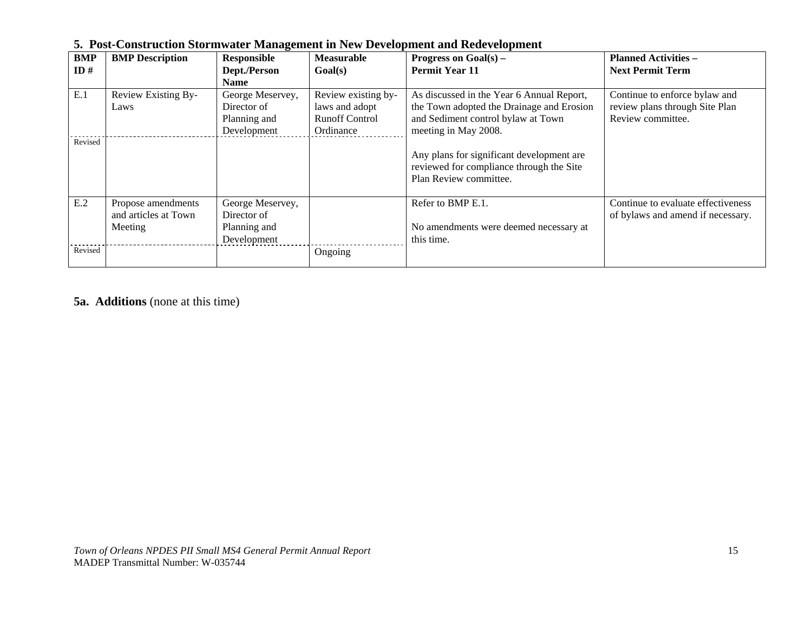| <b>BMP</b> | <b>BMP</b> Description | $\overline{\phantom{a}}$<br>Responsible | <b>Measurable</b>     | Progress on $Goal(s)$ –                   | <b>Planned Activities -</b>        |
|------------|------------------------|-----------------------------------------|-----------------------|-------------------------------------------|------------------------------------|
| ID#        |                        | Dept./Person                            | Goal(s)               | <b>Permit Year 11</b>                     | <b>Next Permit Term</b>            |
|            |                        | Name                                    |                       |                                           |                                    |
| E.1        | Review Existing By-    | George Meservey,                        | Review existing by-   | As discussed in the Year 6 Annual Report, | Continue to enforce bylaw and      |
|            | Laws                   | Director of                             | laws and adopt        | the Town adopted the Drainage and Erosion | review plans through Site Plan     |
|            |                        | Planning and                            | <b>Runoff Control</b> | and Sediment control bylaw at Town        | Review committee.                  |
|            |                        | Development                             | Ordinance             | meeting in May 2008.                      |                                    |
| Revised    |                        |                                         |                       |                                           |                                    |
|            |                        |                                         |                       | Any plans for significant development are |                                    |
|            |                        |                                         |                       | reviewed for compliance through the Site  |                                    |
|            |                        |                                         |                       | Plan Review committee.                    |                                    |
|            |                        |                                         |                       |                                           |                                    |
| E.2        | Propose amendments     | George Meservey,                        |                       | Refer to BMP E.1.                         | Continue to evaluate effectiveness |
|            | and articles at Town   | Director of                             |                       |                                           | of bylaws and amend if necessary.  |
|            | Meeting                | Planning and                            |                       | No amendments were deemed necessary at    |                                    |
|            |                        | Development                             |                       | this time.                                |                                    |
| Revised    |                        |                                         | Ongoing               |                                           |                                    |
|            |                        |                                         |                       |                                           |                                    |

#### **5. Post-Construction Stormwater Management in New Development and Redevelopment**

**5a. Additions** (none at this time)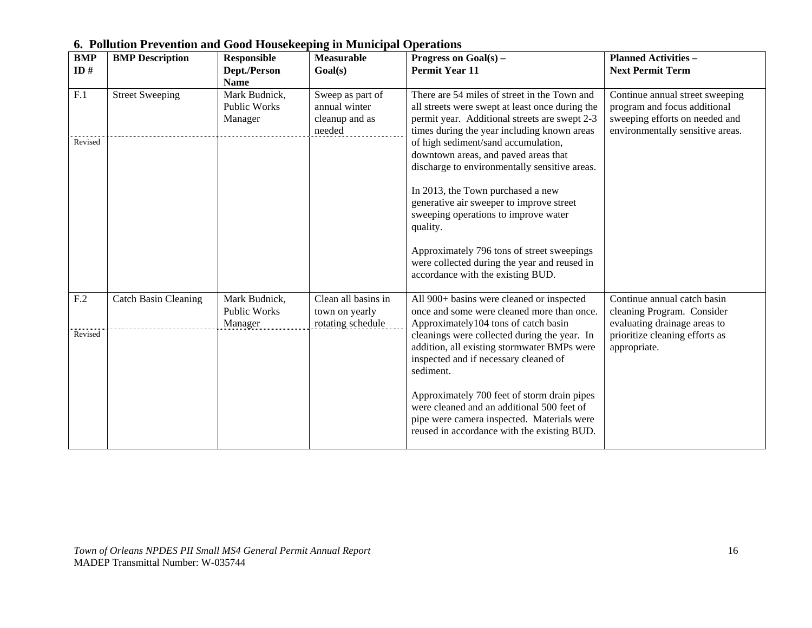| <b>BMP</b><br>ID# | <b>BMP</b> Description      | <b>Responsible</b><br>Dept./Person                      | <b>Measurable</b><br>Goal(s)                                  | Progress on $Goal(s)$ –<br><b>Permit Year 11</b>                                                                                                                                                | <b>Planned Activities -</b><br><b>Next Permit Term</b>                                                                                |
|-------------------|-----------------------------|---------------------------------------------------------|---------------------------------------------------------------|-------------------------------------------------------------------------------------------------------------------------------------------------------------------------------------------------|---------------------------------------------------------------------------------------------------------------------------------------|
| F.1               | <b>Street Sweeping</b>      | <b>Name</b><br>Mark Budnick,<br>Public Works<br>Manager | Sweep as part of<br>annual winter<br>cleanup and as<br>needed | There are 54 miles of street in the Town and<br>all streets were swept at least once during the<br>permit year. Additional streets are swept 2-3<br>times during the year including known areas | Continue annual street sweeping<br>program and focus additional<br>sweeping efforts on needed and<br>environmentally sensitive areas. |
| Revised           |                             |                                                         |                                                               | of high sediment/sand accumulation,<br>downtown areas, and paved areas that<br>discharge to environmentally sensitive areas.                                                                    |                                                                                                                                       |
|                   |                             |                                                         |                                                               | In 2013, the Town purchased a new<br>generative air sweeper to improve street<br>sweeping operations to improve water<br>quality.                                                               |                                                                                                                                       |
|                   |                             |                                                         |                                                               | Approximately 796 tons of street sweepings<br>were collected during the year and reused in<br>accordance with the existing BUD.                                                                 |                                                                                                                                       |
| F <sub>.2</sub>   | <b>Catch Basin Cleaning</b> | Mark Budnick,<br>Public Works<br>Manager                | Clean all basins in<br>town on yearly<br>rotating schedule    | All 900+ basins were cleaned or inspected<br>once and some were cleaned more than once.<br>Approximately104 tons of catch basin                                                                 | Continue annual catch basin<br>cleaning Program. Consider<br>evaluating drainage areas to                                             |
| Revised           |                             |                                                         |                                                               | cleanings were collected during the year. In<br>addition, all existing stormwater BMPs were<br>inspected and if necessary cleaned of<br>sediment.                                               | prioritize cleaning efforts as<br>appropriate.                                                                                        |
|                   |                             |                                                         |                                                               | Approximately 700 feet of storm drain pipes<br>were cleaned and an additional 500 feet of<br>pipe were camera inspected. Materials were<br>reused in accordance with the existing BUD.          |                                                                                                                                       |

#### **6. Pollution Prevention and Good Housekeeping in Municipal Operations**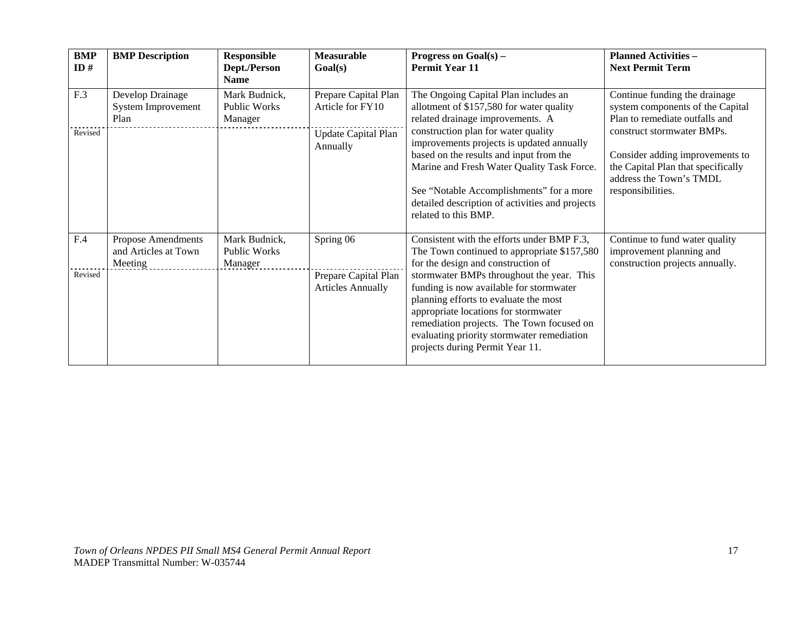| BMP<br>ID#     | <b>BMP</b> Description                                       | <b>Responsible</b><br>Dept./Person<br><b>Name</b> | Measurable<br>Goal(s)                                                       | Progress on $Goal(s) -$<br><b>Permit Year 11</b>                                                                                                                                                                                                                                                                                                                                                                                       | <b>Planned Activities -</b><br><b>Next Permit Term</b>                                                                                                                                                                                                     |
|----------------|--------------------------------------------------------------|---------------------------------------------------|-----------------------------------------------------------------------------|----------------------------------------------------------------------------------------------------------------------------------------------------------------------------------------------------------------------------------------------------------------------------------------------------------------------------------------------------------------------------------------------------------------------------------------|------------------------------------------------------------------------------------------------------------------------------------------------------------------------------------------------------------------------------------------------------------|
| F.3<br>Revised | Develop Drainage<br>System Improvement<br>Plan               | Mark Budnick,<br><b>Public Works</b><br>Manager   | Prepare Capital Plan<br>Article for FY10<br>Update Capital Plan<br>Annually | The Ongoing Capital Plan includes an<br>allotment of \$157,580 for water quality<br>related drainage improvements. A<br>construction plan for water quality<br>improvements projects is updated annually<br>based on the results and input from the<br>Marine and Fresh Water Quality Task Force.<br>See "Notable Accomplishments" for a more<br>detailed description of activities and projects<br>related to this BMP.               | Continue funding the drainage<br>system components of the Capital<br>Plan to remediate outfalls and<br>construct stormwater BMPs.<br>Consider adding improvements to<br>the Capital Plan that specifically<br>address the Town's TMDL<br>responsibilities. |
| F.4<br>Revised | <b>Propose Amendments</b><br>and Articles at Town<br>Meeting | Mark Budnick,<br><b>Public Works</b><br>Manager   | Spring 06<br>Prepare Capital Plan<br><b>Articles Annually</b>               | Consistent with the efforts under BMP F.3,<br>The Town continued to appropriate \$157,580<br>for the design and construction of<br>stormwater BMPs throughout the year. This<br>funding is now available for stormwater<br>planning efforts to evaluate the most<br>appropriate locations for stormwater<br>remediation projects. The Town focused on<br>evaluating priority stormwater remediation<br>projects during Permit Year 11. | Continue to fund water quality<br>improvement planning and<br>construction projects annually.                                                                                                                                                              |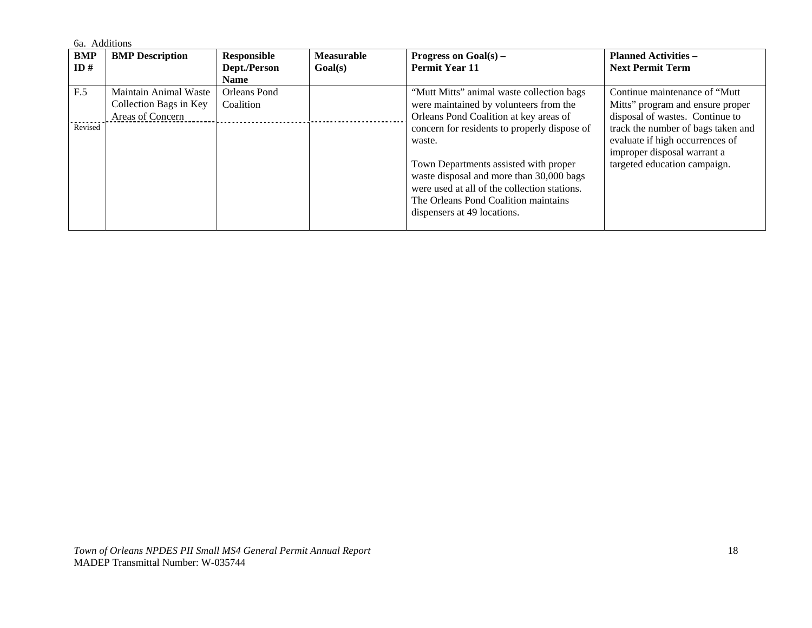|         | 6a. Additions          |                    |                   |                                              |                                    |  |  |
|---------|------------------------|--------------------|-------------------|----------------------------------------------|------------------------------------|--|--|
| BMP     | <b>BMP</b> Description | <b>Responsible</b> | <b>Measurable</b> | Progress on $Goal(s)$ –                      | <b>Planned Activities –</b>        |  |  |
| ID#     |                        | Dept./Person       | Goal(s)           | <b>Permit Year 11</b>                        | <b>Next Permit Term</b>            |  |  |
|         |                        | <b>Name</b>        |                   |                                              |                                    |  |  |
| F.5     | Maintain Animal Waste  | Orleans Pond       |                   | "Mutt Mitts" animal waste collection bags    | Continue maintenance of "Mutt"     |  |  |
|         | Collection Bags in Key | Coalition          |                   | were maintained by volunteers from the       | Mitts" program and ensure proper   |  |  |
|         | Areas of Concern       |                    |                   | Orleans Pond Coalition at key areas of       | disposal of wastes. Continue to    |  |  |
| Revised |                        |                    |                   | concern for residents to properly dispose of | track the number of bags taken and |  |  |
|         |                        |                    |                   | waste.                                       | evaluate if high occurrences of    |  |  |
|         |                        |                    |                   |                                              | improper disposal warrant a        |  |  |
|         |                        |                    |                   | Town Departments assisted with proper        | targeted education campaign.       |  |  |
|         |                        |                    |                   | waste disposal and more than 30,000 bags     |                                    |  |  |
|         |                        |                    |                   | were used at all of the collection stations. |                                    |  |  |
|         |                        |                    |                   | The Orleans Pond Coalition maintains         |                                    |  |  |
|         |                        |                    |                   | dispensers at 49 locations.                  |                                    |  |  |
|         |                        |                    |                   |                                              |                                    |  |  |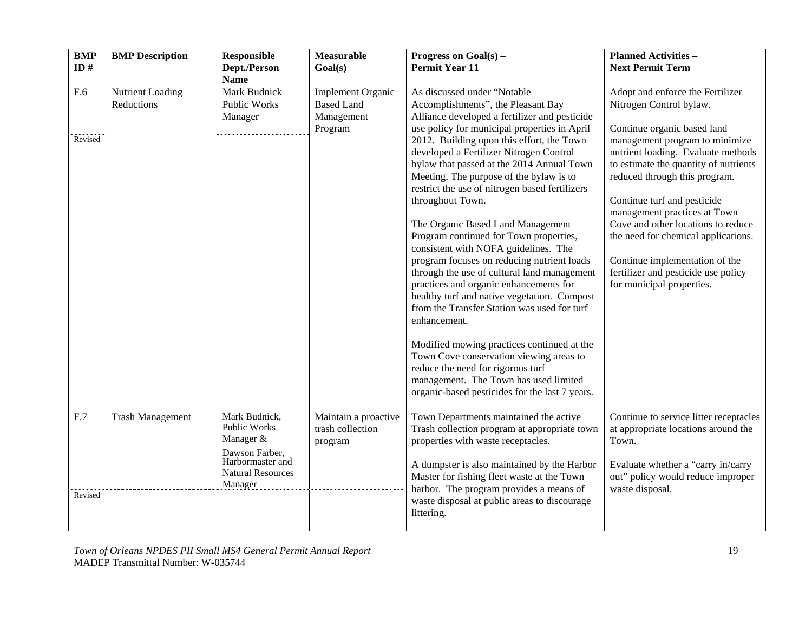| <b>BMP</b><br>ID# | <b>BMP</b> Description         | <b>Responsible</b><br>Dept./Person<br><b>Name</b>                   | Measurable<br>Goal(s)                                                  | Progress on $Goal(s)$ –<br><b>Permit Year 11</b>                                                                                                                                                                                                  | <b>Planned Activities -</b><br><b>Next Permit Term</b>                                                                                         |
|-------------------|--------------------------------|---------------------------------------------------------------------|------------------------------------------------------------------------|---------------------------------------------------------------------------------------------------------------------------------------------------------------------------------------------------------------------------------------------------|------------------------------------------------------------------------------------------------------------------------------------------------|
| F.6               | Nutrient Loading<br>Reductions | Mark Budnick<br>Public Works<br>Manager                             | <b>Implement Organic</b><br><b>Based Land</b><br>Management<br>Program | As discussed under "Notable<br>Accomplishments", the Pleasant Bay<br>Alliance developed a fertilizer and pesticide<br>use policy for municipal properties in April                                                                                | Adopt and enforce the Fertilizer<br>Nitrogen Control bylaw.<br>Continue organic based land                                                     |
| Revised           |                                |                                                                     |                                                                        | 2012. Building upon this effort, the Town<br>developed a Fertilizer Nitrogen Control<br>bylaw that passed at the 2014 Annual Town<br>Meeting. The purpose of the bylaw is to<br>restrict the use of nitrogen based fertilizers                    | management program to minimize<br>nutrient loading. Evaluate methods<br>to estimate the quantity of nutrients<br>reduced through this program. |
|                   |                                |                                                                     |                                                                        | throughout Town.<br>The Organic Based Land Management                                                                                                                                                                                             | Continue turf and pesticide<br>management practices at Town<br>Cove and other locations to reduce                                              |
|                   |                                |                                                                     |                                                                        | Program continued for Town properties,<br>consistent with NOFA guidelines. The                                                                                                                                                                    | the need for chemical applications.                                                                                                            |
|                   |                                |                                                                     |                                                                        | program focuses on reducing nutrient loads<br>through the use of cultural land management<br>practices and organic enhancements for<br>healthy turf and native vegetation. Compost<br>from the Transfer Station was used for turf<br>enhancement. | Continue implementation of the<br>fertilizer and pesticide use policy<br>for municipal properties.                                             |
|                   |                                |                                                                     |                                                                        | Modified mowing practices continued at the<br>Town Cove conservation viewing areas to<br>reduce the need for rigorous turf<br>management. The Town has used limited<br>organic-based pesticides for the last 7 years.                             |                                                                                                                                                |
| F.7               | <b>Trash Management</b>        | Mark Budnick,<br><b>Public Works</b><br>Manager &<br>Dawson Farber, | Maintain a proactive<br>trash collection<br>program                    | Town Departments maintained the active<br>Trash collection program at appropriate town<br>properties with waste receptacles.                                                                                                                      | Continue to service litter receptacles<br>at appropriate locations around the<br>Town.                                                         |
| Revised           |                                | Harbormaster and<br><b>Natural Resources</b><br>Manager             |                                                                        | A dumpster is also maintained by the Harbor<br>Master for fishing fleet waste at the Town<br>harbor. The program provides a means of                                                                                                              | Evaluate whether a "carry in/carry<br>out" policy would reduce improper<br>waste disposal.                                                     |
|                   |                                |                                                                     |                                                                        | waste disposal at public areas to discourage<br>littering.                                                                                                                                                                                        |                                                                                                                                                |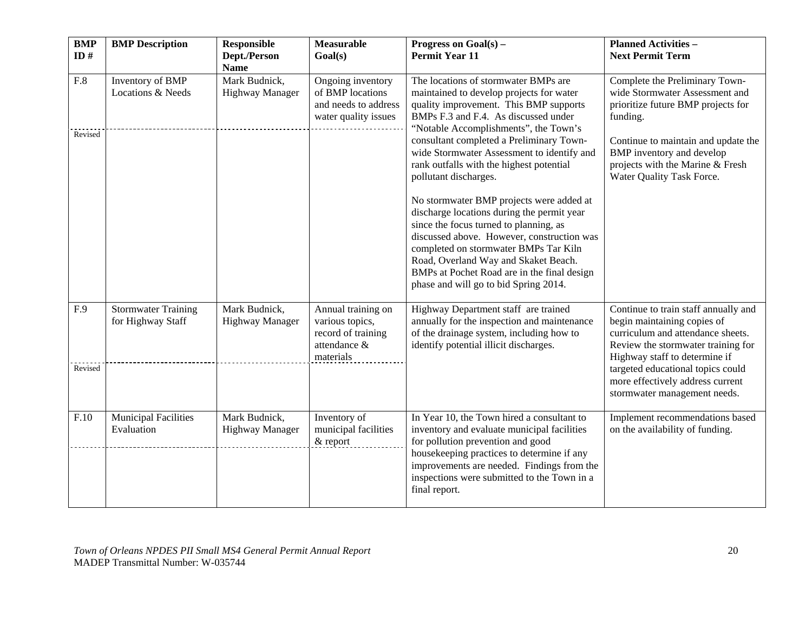| <b>BMP</b><br>ID# | <b>BMP</b> Description                          | <b>Responsible</b><br>Dept./Person<br><b>Name</b> | <b>Measurable</b><br>Goal(s)                                                             | Progress on $Goal(s)$ –<br><b>Permit Year 11</b>                                                                                                                                                                                                                                                                                                                                                                                                                           | <b>Planned Activities -</b><br><b>Next Permit Term</b>                                                                                                                                                                                                                                   |
|-------------------|-------------------------------------------------|---------------------------------------------------|------------------------------------------------------------------------------------------|----------------------------------------------------------------------------------------------------------------------------------------------------------------------------------------------------------------------------------------------------------------------------------------------------------------------------------------------------------------------------------------------------------------------------------------------------------------------------|------------------------------------------------------------------------------------------------------------------------------------------------------------------------------------------------------------------------------------------------------------------------------------------|
| F.8<br>Revised    | Inventory of BMP<br>Locations & Needs           | Mark Budnick,<br>Highway Manager                  | Ongoing inventory<br>of BMP locations<br>and needs to address<br>water quality issues    | The locations of stormwater BMPs are<br>maintained to develop projects for water<br>quality improvement. This BMP supports<br>BMPs F.3 and F.4. As discussed under<br>"Notable Accomplishments", the Town's<br>consultant completed a Preliminary Town-                                                                                                                                                                                                                    | Complete the Preliminary Town-<br>wide Stormwater Assessment and<br>prioritize future BMP projects for<br>funding.<br>Continue to maintain and update the                                                                                                                                |
|                   |                                                 |                                                   |                                                                                          | wide Stormwater Assessment to identify and<br>rank outfalls with the highest potential<br>pollutant discharges.<br>No stormwater BMP projects were added at<br>discharge locations during the permit year<br>since the focus turned to planning, as<br>discussed above. However, construction was<br>completed on stormwater BMPs Tar Kiln<br>Road, Overland Way and Skaket Beach.<br>BMPs at Pochet Road are in the final design<br>phase and will go to bid Spring 2014. | BMP inventory and develop<br>projects with the Marine & Fresh<br>Water Quality Task Force.                                                                                                                                                                                               |
| F.9<br>Revised    | <b>Stormwater Training</b><br>for Highway Staff | Mark Budnick,<br><b>Highway Manager</b>           | Annual training on<br>various topics,<br>record of training<br>attendance &<br>materials | Highway Department staff are trained<br>annually for the inspection and maintenance<br>of the drainage system, including how to<br>identify potential illicit discharges.                                                                                                                                                                                                                                                                                                  | Continue to train staff annually and<br>begin maintaining copies of<br>curriculum and attendance sheets.<br>Review the stormwater training for<br>Highway staff to determine if<br>targeted educational topics could<br>more effectively address current<br>stormwater management needs. |
| F.10              | Municipal Facilities<br>Evaluation              | Mark Budnick,<br><b>Highway Manager</b>           | Inventory of<br>municipal facilities<br>& report                                         | In Year 10, the Town hired a consultant to<br>inventory and evaluate municipal facilities<br>for pollution prevention and good<br>housekeeping practices to determine if any<br>improvements are needed. Findings from the<br>inspections were submitted to the Town in a<br>final report.                                                                                                                                                                                 | Implement recommendations based<br>on the availability of funding.                                                                                                                                                                                                                       |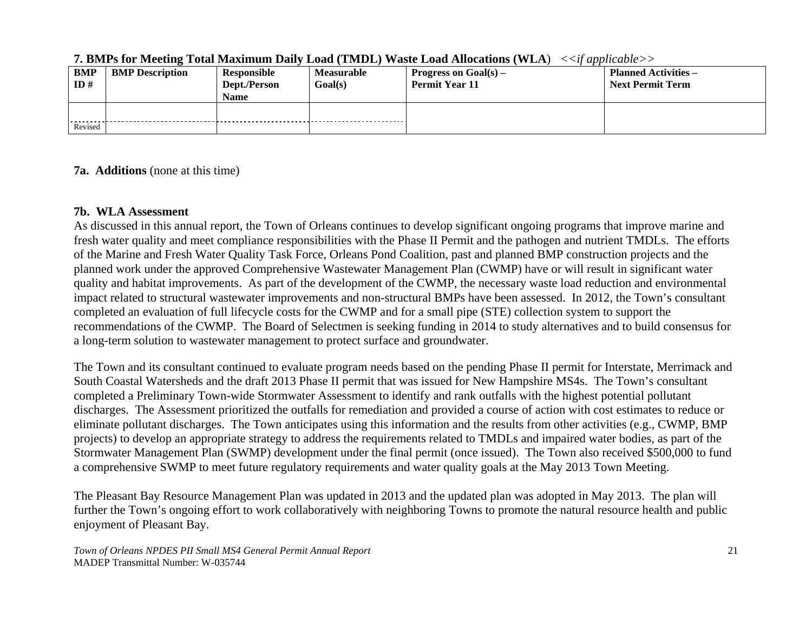| <b>BMP</b><br>ID# | <b>BMP</b> Description | Responsible<br>Dept./Person<br><b>Name</b> | <b>Measurable</b><br>Goal(s) | Progress on $Goal(s)$ –<br><b>Permit Year 11</b> | <b>Planned Activities –</b><br><b>Next Permit Term</b> |
|-------------------|------------------------|--------------------------------------------|------------------------------|--------------------------------------------------|--------------------------------------------------------|
| Revised           |                        |                                            |                              |                                                  |                                                        |

#### **7. BMPs for Meeting Total Maximum Daily Load (TMDL) Waste Load Allocations (WLA**) *<<if applicable>>*

#### **7a. Additions** (none at this time)

#### **7b. WLA Assessment**

As discussed in this annual report, the Town of Orleans continues to develop significant ongoing programs that improve marine and fresh water quality and meet compliance responsibilities with the Phase II Permit and the pathogen and nutrient TMDLs. The efforts of the Marine and Fresh Water Quality Task Force, Orleans Pond Coalition, past and planned BMP construction projects and the planned work under the approved Comprehensive Wastewater Management Plan (CWMP) have or will result in significant water quality and habitat improvements. As part of the development of the CWMP, the necessary waste load reduction and environmental impact related to structural wastewater improvements and non-structural BMPs have been assessed. In 2012, the Town's consultant completed an evaluation of full lifecycle costs for the CWMP and for a small pipe (STE) collection system to support the recommendations of the CWMP. The Board of Selectmen is seeking funding in 2014 to study alternatives and to build consensus for a long-term solution to wastewater management to protect surface and groundwater.

The Town and its consultant continued to evaluate program needs based on the pending Phase II permit for Interstate, Merrimack and South Coastal Watersheds and the draft 2013 Phase II permit that was issued for New Hampshire MS4s. The Town's consultant completed a Preliminary Town-wide Stormwater Assessment to identify and rank outfalls with the highest potential pollutant discharges. The Assessment prioritized the outfalls for remediation and provided a course of action with cost estimates to reduce or eliminate pollutant discharges. The Town anticipates using this information and the results from other activities (e.g., CWMP, BMP projects) to develop an appropriate strategy to address the requirements related to TMDLs and impaired water bodies, as part of the Stormwater Management Plan (SWMP) development under the final permit (once issued). The Town also received \$500,000 to fund a comprehensive SWMP to meet future regulatory requirements and water quality goals at the May 2013 Town Meeting.

The Pleasant Bay Resource Management Plan was updated in 2013 and the updated plan was adopted in May 2013. The plan will further the Town's ongoing effort to work collaboratively with neighboring Towns to promote the natural resource health and public enjoyment of Pleasant Bay.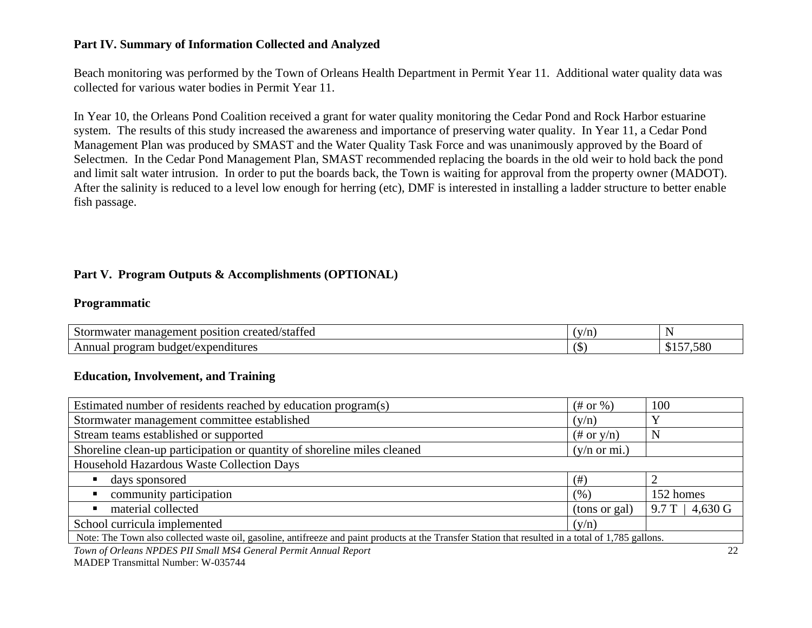#### **Part IV. Summary of Information Collected and Analyzed**

Beach monitoring was performed by the Town of Orleans Health Department in Permit Year 11. Additional water quality data was collected for various water bodies in Permit Year 11.

In Year 10, the Orleans Pond Coalition received a grant for water quality monitoring the Cedar Pond and Rock Harbor estuarine system. The results of this study increased the awareness and importance of preserving water quality. In Year 11, a Cedar Pond Management Plan was produced by SMAST and the Water Quality Task Force and was unanimously approved by the Board of Selectmen. In the Cedar Pond Management Plan, SMAST recommended replacing the boards in the old weir to hold back the pond and limit salt water intrusion. In order to put the boards back, the Town is waiting for approval from the property owner (MADOT). After the salinity is reduced to a level low enough for herring (etc), DMF is interested in installing a ladder structure to better enable fish passage.

#### **Part V. Program Outputs & Accomplishments (OPTIONAL)**

#### **Programmatic**

| $\sim$<br>$\sim$<br>/staffed<br>created<br>'10 h<br>.ner<br>Stor <sup>*</sup><br>. nosť<br>าwater<br>. $\mu$ anage $\sim$ | (v/r<br>/ 11 |                                            |
|---------------------------------------------------------------------------------------------------------------------------|--------------|--------------------------------------------|
| . program budget <i>'</i><br>Annual<br>/expenditures                                                                      | ∕α           | .58 <sub>0</sub><br>$\triangleright$<br>11 |

#### **Education, Involvement, and Training**

| Estimated number of residents reached by education program(s)                                                                                       | $(\#$ or %)             | 100                |  |  |
|-----------------------------------------------------------------------------------------------------------------------------------------------------|-------------------------|--------------------|--|--|
| Stormwater management committee established                                                                                                         | (y/n)                   |                    |  |  |
| Stream teams established or supported                                                                                                               | $(\# \text{ or } y/n)$  |                    |  |  |
| Shoreline clean-up participation or quantity of shoreline miles cleaned                                                                             | $(y/n \text{ or } mi.)$ |                    |  |  |
| Household Hazardous Waste Collection Days                                                                                                           |                         |                    |  |  |
| days sponsored                                                                                                                                      | $(\#)$                  |                    |  |  |
| community participation                                                                                                                             | (%)                     | 152 homes          |  |  |
| material collected                                                                                                                                  | (tons or gal)           | $4,630$ G<br>9.7 T |  |  |
| School curricula implemented                                                                                                                        | (y/n)                   |                    |  |  |
| Note: The Town also collected waste oil, gasoline, antifreeze and paint products at the Transfer Station that resulted in a total of 1,785 gallons. |                         |                    |  |  |
| $\pi$ cot upper und under in the theory                                                                                                             |                         | $\sim$             |  |  |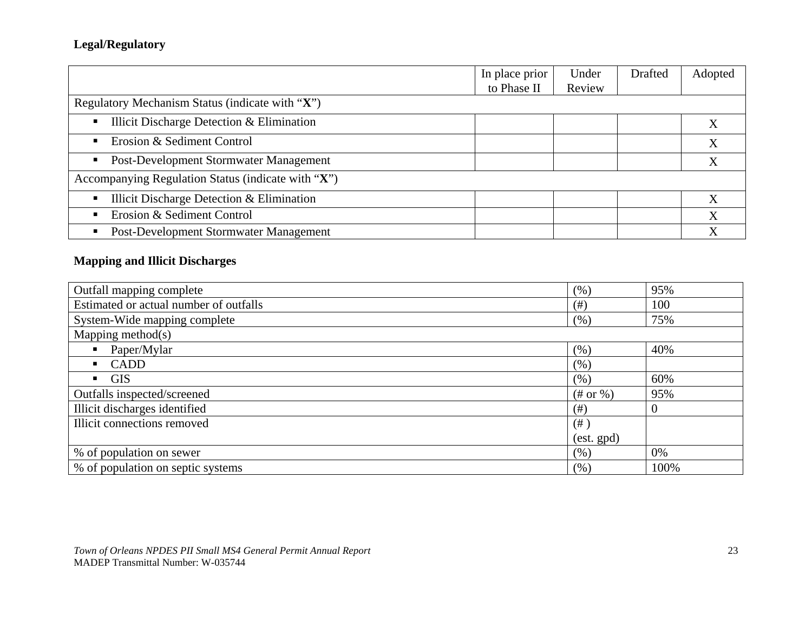# **Legal/Regulatory**

|                                                    | In place prior | Under  | Drafted | Adopted |
|----------------------------------------------------|----------------|--------|---------|---------|
|                                                    | to Phase II    | Review |         |         |
| Regulatory Mechanism Status (indicate with "X")    |                |        |         |         |
| Illicit Discharge Detection & Elimination<br>п     |                |        |         |         |
| Erosion & Sediment Control                         |                |        |         | X       |
| Post-Development Stormwater Management             |                |        |         |         |
| Accompanying Regulation Status (indicate with "X") |                |        |         |         |
| Illicit Discharge Detection & Elimination          |                |        |         |         |
| Erosion & Sediment Control                         |                |        |         | X       |
| Post-Development Stormwater Management             |                |        |         |         |

# **Mapping and Illicit Discharges**

| Outfall mapping complete               | (% )            | 95%  |
|----------------------------------------|-----------------|------|
| Estimated or actual number of outfalls | (# )            | 100  |
| System-Wide mapping complete           | (% )            | 75%  |
| Mapping method $(s)$                   |                 |      |
| Paper/Mylar                            | (% )            | 40%  |
| CADD<br>$\mathbf{r}$                   | (% )            |      |
| $\blacksquare$ GIS                     | (% )            | 60%  |
| Outfalls inspected/screened            | $(\#$ or $\%)$  | 95%  |
| Illicit discharges identified          | (# )            | U    |
| Illicit connections removed            | $($ #)          |      |
|                                        | $(est.$ gpd $)$ |      |
| % of population on sewer               | (% )            | 0%   |
| % of population on septic systems      | (% )            | 100% |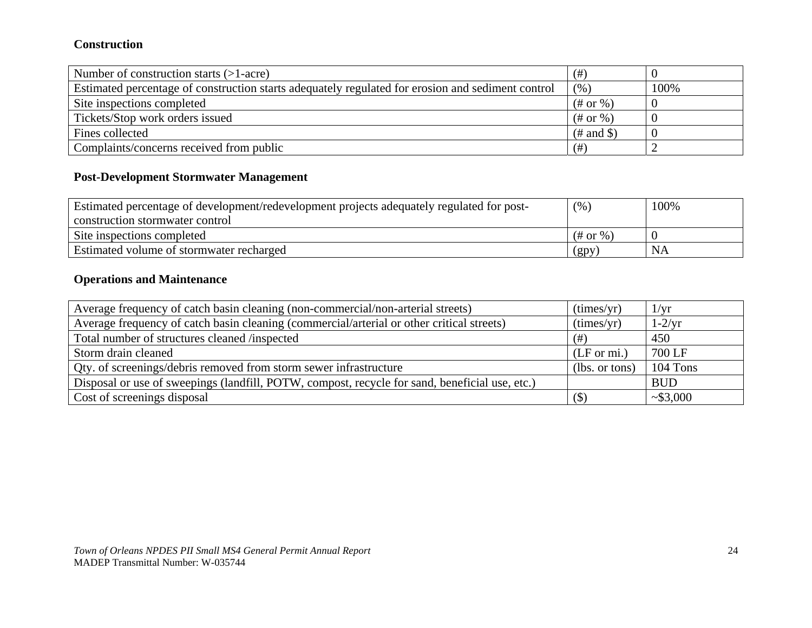#### **Construction**

| Number of construction starts $(>1$ -acre)                                                        | $($ #         |      |
|---------------------------------------------------------------------------------------------------|---------------|------|
| Estimated percentage of construction starts adequately regulated for erosion and sediment control | (% )          | 100% |
| Site inspections completed                                                                        | $(\#$ or %)   |      |
| Tickets/Stop work orders issued                                                                   | $(\#$ or %)   |      |
| Fines collected                                                                                   | $(\#$ and \$) |      |
| Complaints/concerns received from public                                                          | (# )          |      |

# **Post-Development Stormwater Management**

| Estimated percentage of development/redevelopment projects adequately regulated for post- | (% , )                | 100% |
|-------------------------------------------------------------------------------------------|-----------------------|------|
| construction stormwater control                                                           |                       |      |
| Site inspections completed                                                                | $(\# \text{ or } \%)$ |      |
| Estimated volume of stormwater recharged                                                  | (gpy)                 | NA   |

## **Operations and Maintenance**

| Average frequency of catch basin cleaning (non-commercial/non-arterial streets)                | (times/yr)             | $1/\mathrm{yr}$ |
|------------------------------------------------------------------------------------------------|------------------------|-----------------|
| Average frequency of catch basin cleaning (commercial/arterial or other critical streets)      | (times/yr)             | $1-2/yr$        |
| Total number of structures cleaned /inspected                                                  | (# )                   | 450             |
| Storm drain cleaned                                                                            | $(LF \text{ or } mi.)$ | 700 LF          |
| Qty. of screenings/debris removed from storm sewer infrastructure                              | (lbs. or tons)         | 104 Tons        |
| Disposal or use of sweepings (landfill, POTW, compost, recycle for sand, beneficial use, etc.) |                        | <b>BUD</b>      |
| Cost of screenings disposal                                                                    | (S)                    | ~1.63,000       |